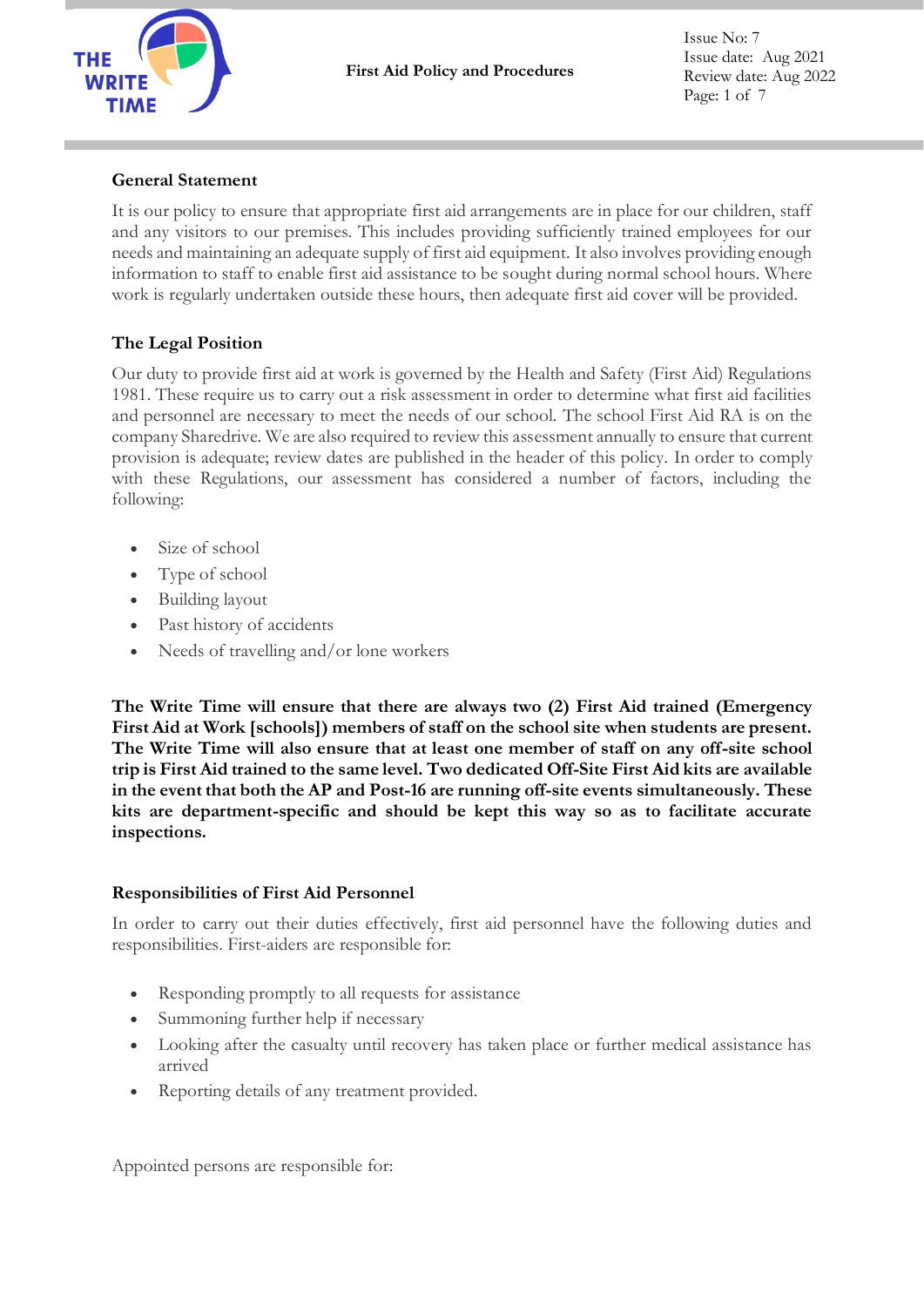

Issue No: 7 Issue date: Aug 2021 Review date: Aug 2022 Page: 1 of 7

## **General Statement**

It is our policy to ensure that appropriate first aid arrangements are in place for our children, staff and any visitors to our premises. This includes providing sufficiently trained employees for our needs and maintaining an adequate supply of first aid equipment. It also involves providing enough information to staff to enable first aid assistance to be sought during normal school hours. Where work is regularly undertaken outside these hours, then adequate first aid cover will be provided.

## **The Legal Position**

Our duty to provide first aid at work is governed by the Health and Safety (First Aid) Regulations 1981. These require us to carry out a risk assessment in order to determine what first aid facilities and personnel are necessary to meet the needs of our school. The school First Aid RA is on the company Sharedrive. We are also required to review this assessment annually to ensure that current provision is adequate; review dates are published in the header of this policy. In order to comply with these Regulations, our assessment has considered a number of factors, including the following:

- Size of school
- Type of school
- Building layout
- Past history of accidents
- Needs of travelling and/or lone workers

**The Write Time will ensure that there are always two (2) First Aid trained (Emergency First Aid at Work [schools]) members of staff on the school site when students are present. The Write Time will also ensure that at least one member of staff on any off-site school trip is First Aid trained to the same level. Two dedicated Off-Site First Aid kits are available in the event that both the AP and Post-16 are running off-site events simultaneously. These kits are department-specific and should be kept this way so as to facilitate accurate inspections.**

### **Responsibilities of First Aid Personnel**

In order to carry out their duties effectively, first aid personnel have the following duties and responsibilities. First-aiders are responsible for:

- Responding promptly to all requests for assistance
- Summoning further help if necessary
- Looking after the casualty until recovery has taken place or further medical assistance has arrived
- Reporting details of any treatment provided.

Appointed persons are responsible for: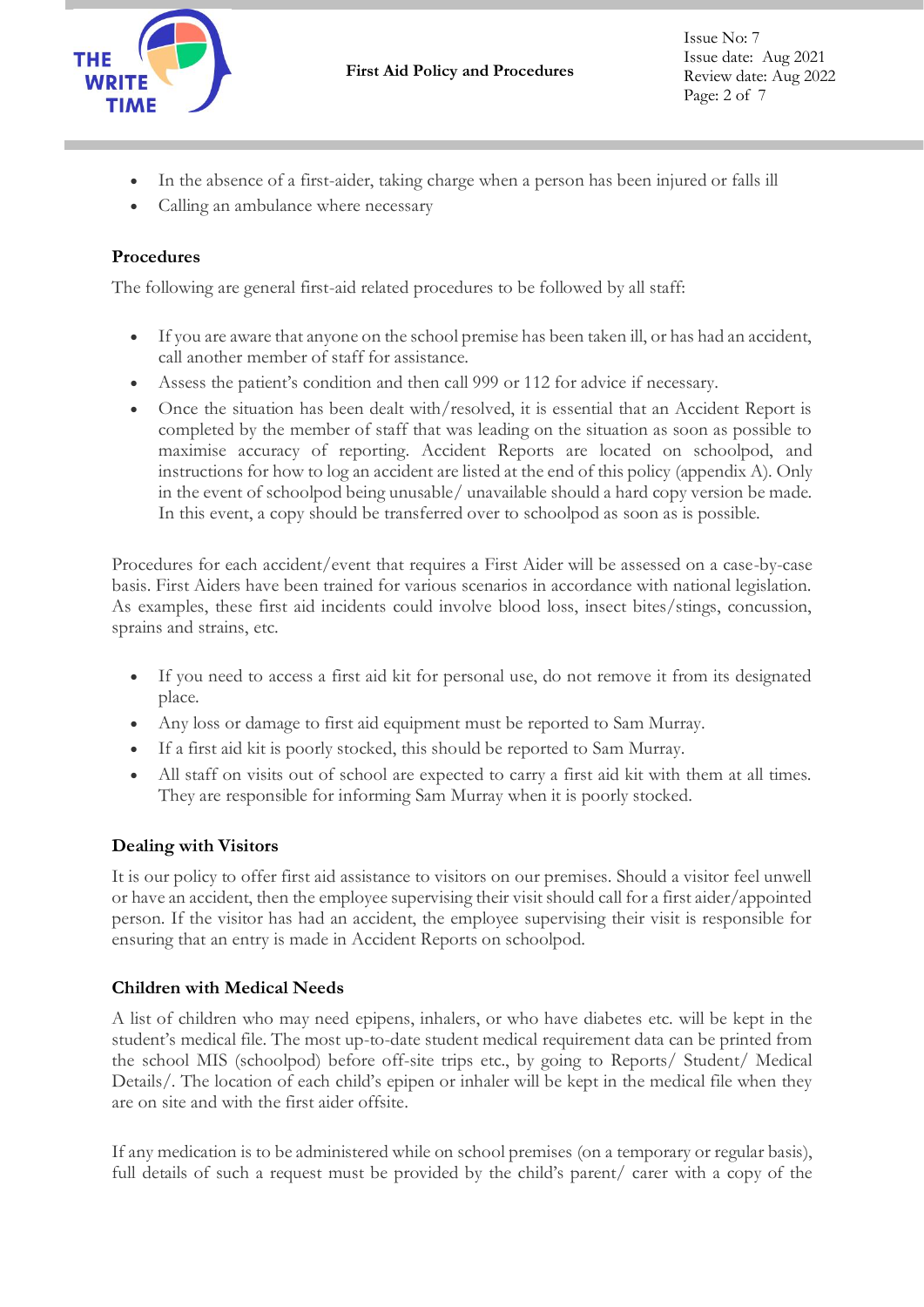

- In the absence of a first-aider, taking charge when a person has been injured or falls ill
- Calling an ambulance where necessary

## **Procedures**

The following are general first-aid related procedures to be followed by all staff:

- If you are aware that anyone on the school premise has been taken ill, or has had an accident, call another member of staff for assistance.
- Assess the patient's condition and then call 999 or 112 for advice if necessary.
- Once the situation has been dealt with/resolved, it is essential that an Accident Report is completed by the member of staff that was leading on the situation as soon as possible to maximise accuracy of reporting. Accident Reports are located on schoolpod, and instructions for how to log an accident are listed at the end of this policy (appendix A). Only in the event of schoolpod being unusable/ unavailable should a hard copy version be made. In this event, a copy should be transferred over to schoolpod as soon as is possible.

Procedures for each accident/event that requires a First Aider will be assessed on a case-by-case basis. First Aiders have been trained for various scenarios in accordance with national legislation. As examples, these first aid incidents could involve blood loss, insect bites/stings, concussion, sprains and strains, etc.

- If you need to access a first aid kit for personal use, do not remove it from its designated place.
- Any loss or damage to first aid equipment must be reported to Sam Murray.
- If a first aid kit is poorly stocked, this should be reported to Sam Murray.
- All staff on visits out of school are expected to carry a first aid kit with them at all times. They are responsible for informing Sam Murray when it is poorly stocked.

# **Dealing with Visitors**

It is our policy to offer first aid assistance to visitors on our premises. Should a visitor feel unwell or have an accident, then the employee supervising their visit should call for a first aider/appointed person. If the visitor has had an accident, the employee supervising their visit is responsible for ensuring that an entry is made in Accident Reports on schoolpod.

## **Children with Medical Needs**

A list of children who may need epipens, inhalers, or who have diabetes etc. will be kept in the student's medical file. The most up-to-date student medical requirement data can be printed from the school MIS (schoolpod) before off-site trips etc., by going to Reports/ Student/ Medical Details/. The location of each child's epipen or inhaler will be kept in the medical file when they are on site and with the first aider offsite.

If any medication is to be administered while on school premises (on a temporary or regular basis), full details of such a request must be provided by the child's parent/ carer with a copy of the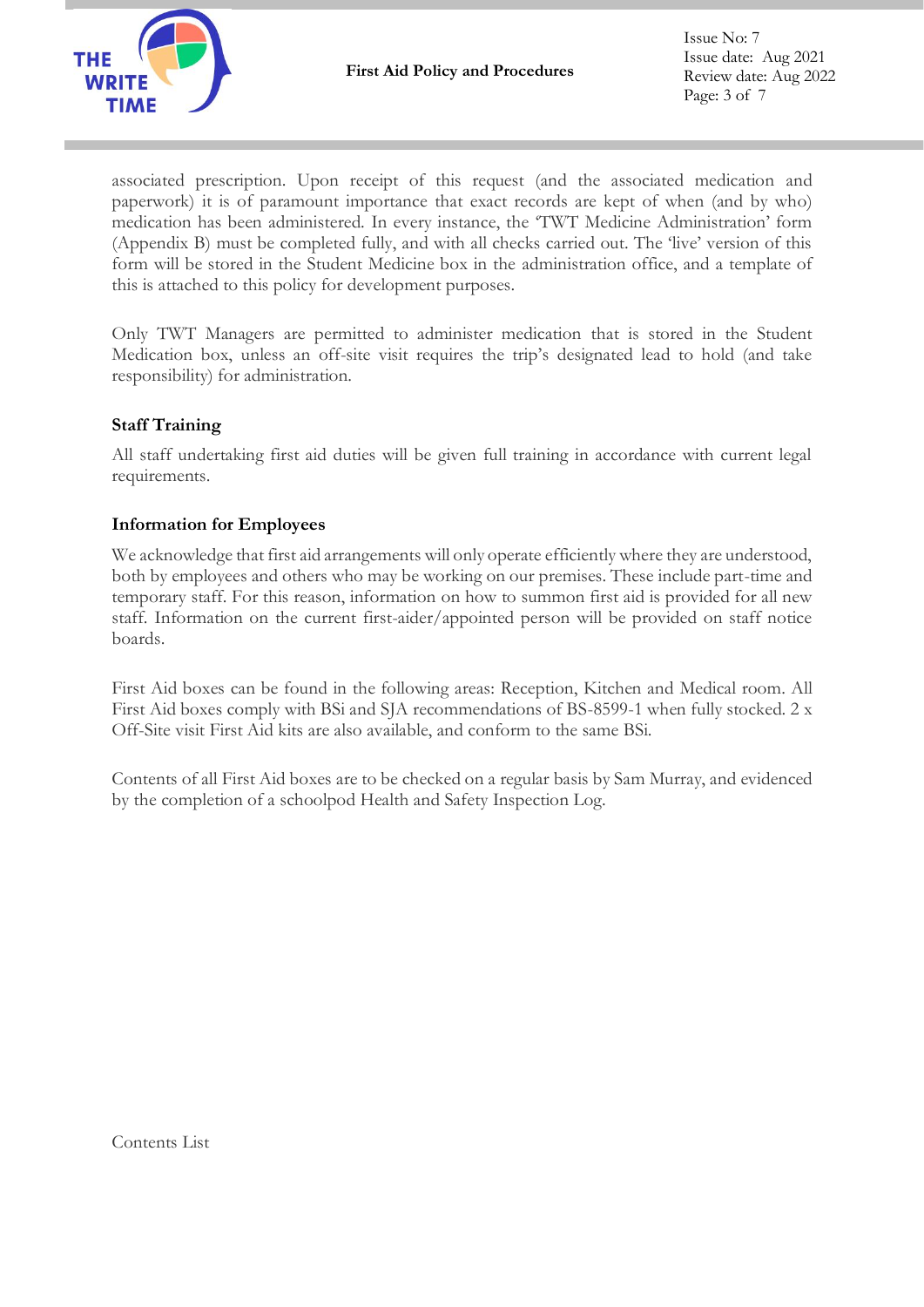

associated prescription. Upon receipt of this request (and the associated medication and paperwork) it is of paramount importance that exact records are kept of when (and by who) medication has been administered. In every instance, the 'TWT Medicine Administration' form (Appendix B) must be completed fully, and with all checks carried out. The 'live' version of this form will be stored in the Student Medicine box in the administration office, and a template of this is attached to this policy for development purposes.

Only TWT Managers are permitted to administer medication that is stored in the Student Medication box, unless an off-site visit requires the trip's designated lead to hold (and take responsibility) for administration.

## **Staff Training**

All staff undertaking first aid duties will be given full training in accordance with current legal requirements.

### **Information for Employees**

We acknowledge that first aid arrangements will only operate efficiently where they are understood, both by employees and others who may be working on our premises. These include part-time and temporary staff. For this reason, information on how to summon first aid is provided for all new staff. Information on the current first-aider/appointed person will be provided on staff notice boards.

First Aid boxes can be found in the following areas: Reception, Kitchen and Medical room. All First Aid boxes comply with BSi and SJA recommendations of BS-8599-1 when fully stocked. 2 x Off-Site visit First Aid kits are also available, and conform to the same BSi.

Contents of all First Aid boxes are to be checked on a regular basis by Sam Murray, and evidenced by the completion of a schoolpod Health and Safety Inspection Log.

Contents List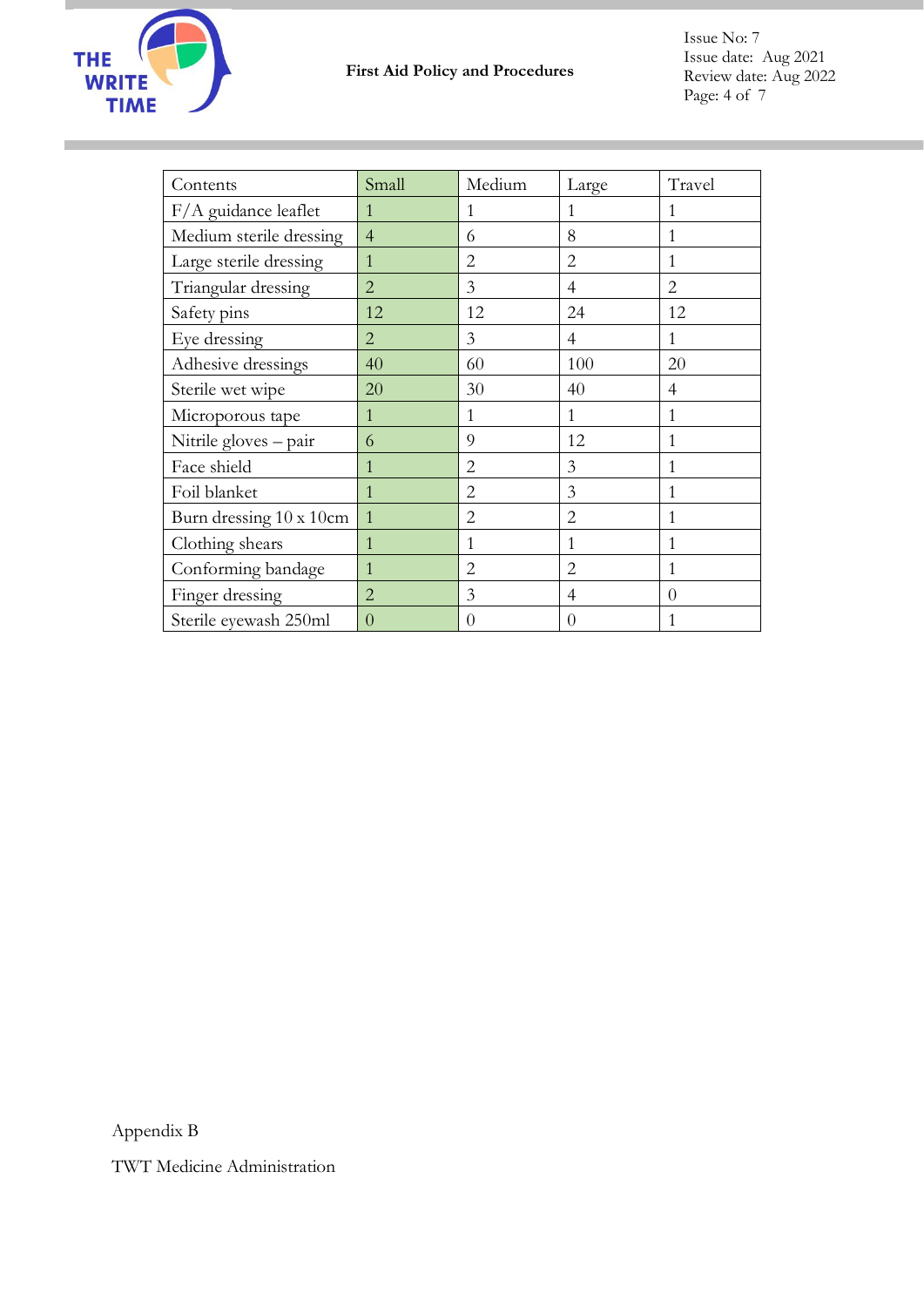

| Contents                | Small          | Medium         | Large            | Travel         |
|-------------------------|----------------|----------------|------------------|----------------|
| F/A guidance leaflet    | 1              | 1              | 1                | 1              |
| Medium sterile dressing | $\overline{4}$ | 6              | 8                | 1              |
| Large sterile dressing  | $\mathbf{1}$   | $\overline{2}$ | $\overline{2}$   | 1              |
| Triangular dressing     | $\overline{2}$ | 3              | 4                | $\overline{2}$ |
| Safety pins             | 12             | 12             | 24               | 12             |
| Eye dressing            | $\overline{2}$ | 3              | $\overline{4}$   | 1              |
| Adhesive dressings      | 40             | 60             | 100              | 20             |
| Sterile wet wipe        | 20             | 30             | 40               | 4              |
| Microporous tape        | 1              | $\mathbf{1}$   | $\mathbf{1}$     | 1              |
| Nitrile gloves - pair   | 6              | 9              | 12               | 1              |
| Face shield             | 1              | $\overline{2}$ | 3                | 1              |
| Foil blanket            | 1              | 2              | 3                | 1              |
| Burn dressing 10 x 10cm | $\mathbf{1}$   | $\overline{2}$ | $\overline{2}$   | 1              |
| Clothing shears         | $\mathbf{1}$   | 1              | 1                | $\mathbf{1}$   |
| Conforming bandage      | $\mathbf{1}$   | $\overline{2}$ | $\overline{2}$   | 1              |
| Finger dressing         | $\overline{2}$ | 3              | 4                | $\theta$       |
| Sterile eyewash 250ml   | $\overline{0}$ | $\overline{0}$ | $\left( \right)$ |                |

Appendix B

TWT Medicine Administration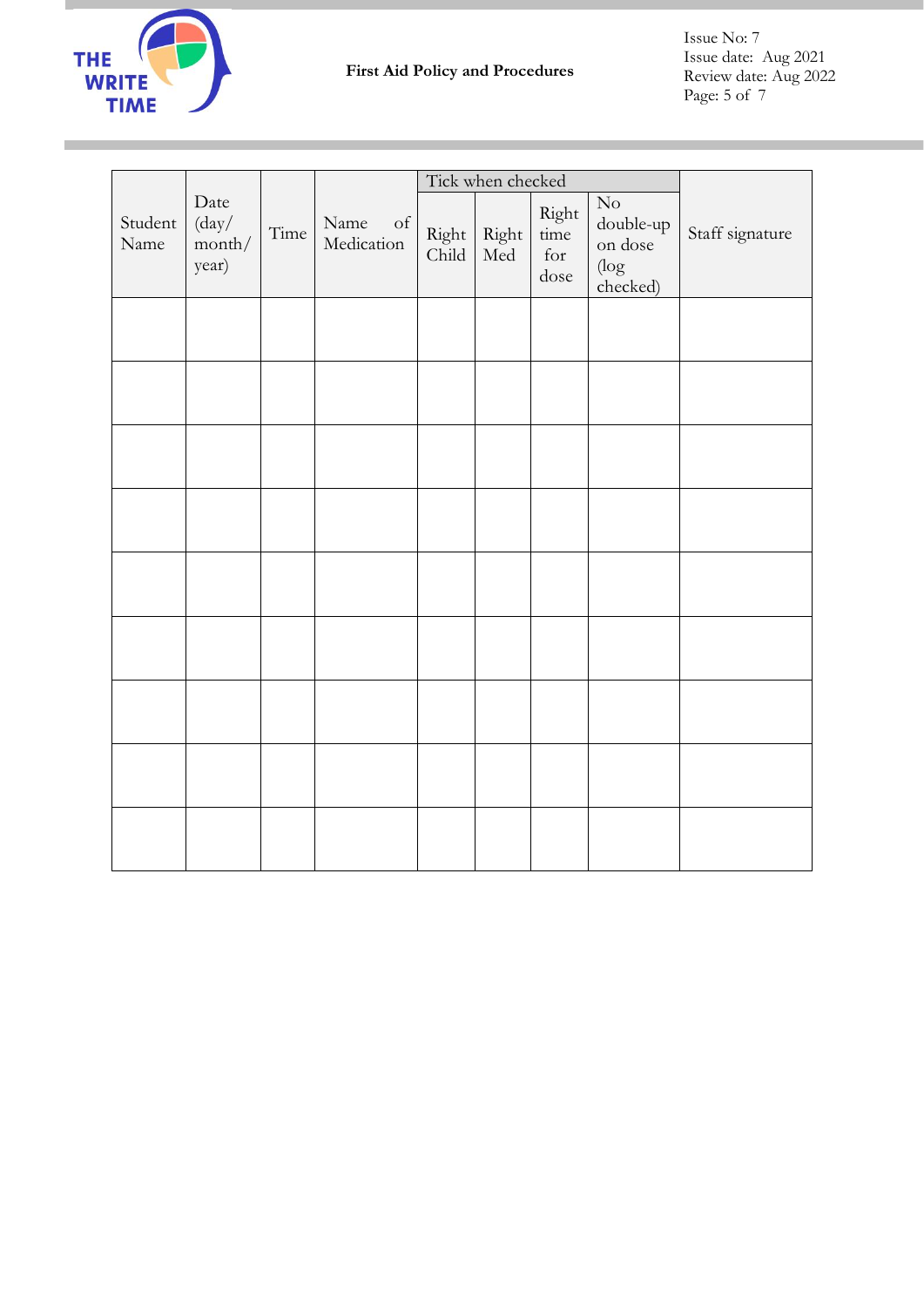

Ì.

Issue No: 7 Issue date: Aug 2021 Review date: Aug 2022 Page: 5 of 7

|                 |                                          |      |                          | Tick when checked |              |                                      |                                                            |                 |
|-----------------|------------------------------------------|------|--------------------------|-------------------|--------------|--------------------------------------|------------------------------------------------------------|-----------------|
| Student<br>Name | Date<br>${\rm (day/}$<br>month/<br>year) | Time | Name<br>of<br>Medication | Right<br>Child    | Right<br>Med | Right<br>time<br>$\quad$ for<br>dose | $\hbox{No}$<br>double-up<br>on dose<br>$(\log$<br>checked) | Staff signature |
|                 |                                          |      |                          |                   |              |                                      |                                                            |                 |
|                 |                                          |      |                          |                   |              |                                      |                                                            |                 |
|                 |                                          |      |                          |                   |              |                                      |                                                            |                 |
|                 |                                          |      |                          |                   |              |                                      |                                                            |                 |
|                 |                                          |      |                          |                   |              |                                      |                                                            |                 |
|                 |                                          |      |                          |                   |              |                                      |                                                            |                 |
|                 |                                          |      |                          |                   |              |                                      |                                                            |                 |
|                 |                                          |      |                          |                   |              |                                      |                                                            |                 |
|                 |                                          |      |                          |                   |              |                                      |                                                            |                 |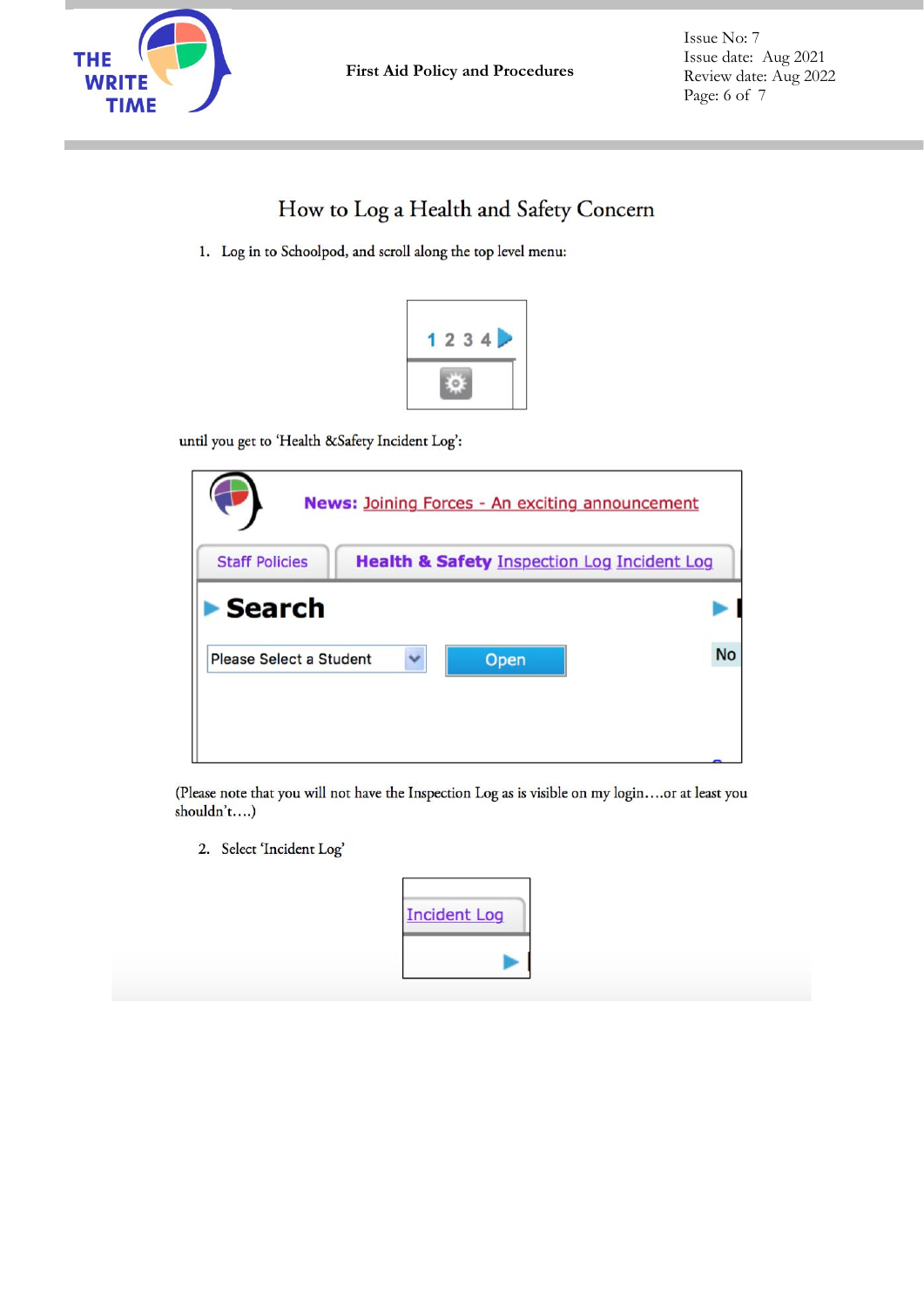

# How to Log a Health and Safety Concern

1. Log in to Schoolpod, and scroll along the top level menu:



until you get to 'Health &Safety Incident Log':

| <b>News: Joining Forces - An exciting announcement</b> |                                                        |           |  |  |
|--------------------------------------------------------|--------------------------------------------------------|-----------|--|--|
| <b>Staff Policies</b>                                  | <b>Health &amp; Safety Inspection Log Incident Log</b> |           |  |  |
| Search                                                 |                                                        |           |  |  |
| Please Select a Student                                | Open                                                   | <b>No</b> |  |  |
|                                                        |                                                        |           |  |  |

(Please note that you will not have the Inspection Log as is visible on my login....or at least you shouldn't....)

2. Select 'Incident Log'